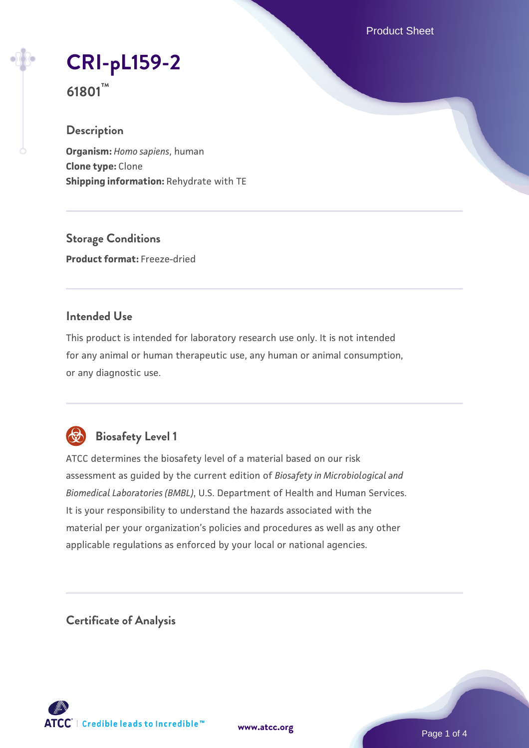Product Sheet

# **[CRI-pL159-2](https://www.atcc.org/products/61801)**

**61801™**

# **Description**

**Organism:** *Homo sapiens*, human **Clone type:** Clone **Shipping information:** Rehydrate with TE

**Storage Conditions Product format:** Freeze-dried

# **Intended Use**

This product is intended for laboratory research use only. It is not intended for any animal or human therapeutic use, any human or animal consumption, or any diagnostic use.



# **Biosafety Level 1**

ATCC determines the biosafety level of a material based on our risk assessment as guided by the current edition of *Biosafety in Microbiological and Biomedical Laboratories (BMBL)*, U.S. Department of Health and Human Services. It is your responsibility to understand the hazards associated with the material per your organization's policies and procedures as well as any other applicable regulations as enforced by your local or national agencies.

**Certificate of Analysis**

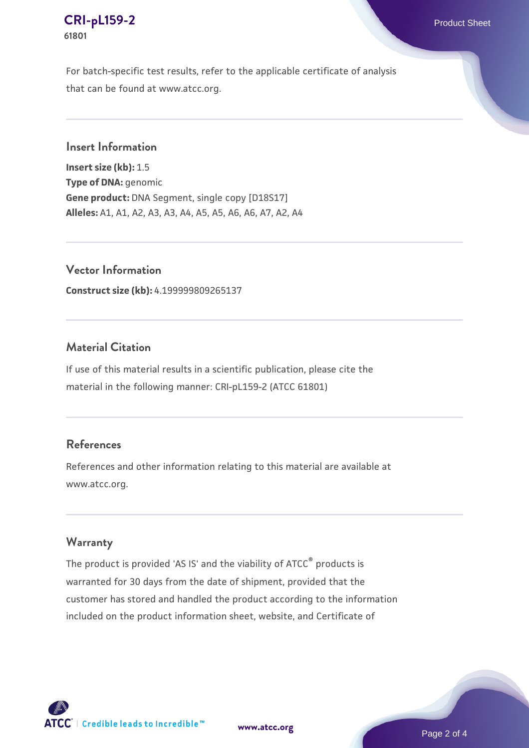#### **[CRI-pL159-2](https://www.atcc.org/products/61801)** Product Sheet **61801**

For batch-specific test results, refer to the applicable certificate of analysis that can be found at www.atcc.org.

### **Insert Information**

**Insert size (kb):** 1.5 **Type of DNA:** genomic **Gene product:** DNA Segment, single copy [D18S17] **Alleles:** A1, A1, A2, A3, A3, A4, A5, A5, A6, A6, A7, A2, A4

**Vector Information**

**Construct size (kb):** 4.199999809265137

### **Material Citation**

If use of this material results in a scientific publication, please cite the material in the following manner: CRI-pL159-2 (ATCC 61801)

# **References**

References and other information relating to this material are available at www.atcc.org.

#### **Warranty**

The product is provided 'AS IS' and the viability of ATCC® products is warranted for 30 days from the date of shipment, provided that the customer has stored and handled the product according to the information included on the product information sheet, website, and Certificate of

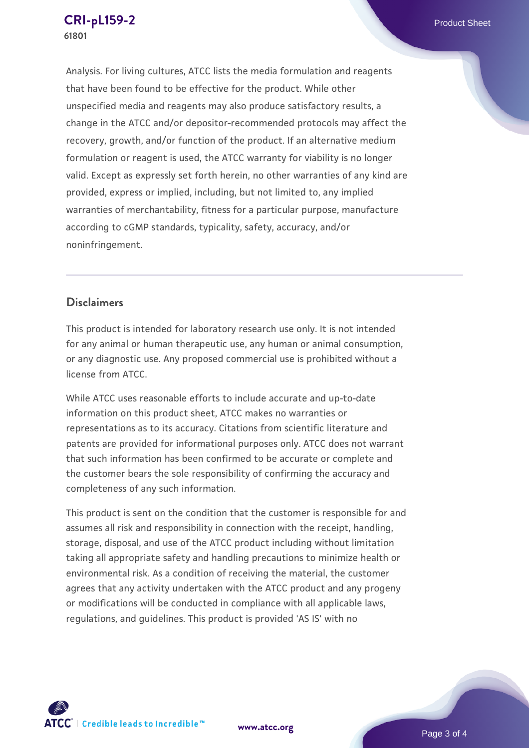Analysis. For living cultures, ATCC lists the media formulation and reagents that have been found to be effective for the product. While other unspecified media and reagents may also produce satisfactory results, a change in the ATCC and/or depositor-recommended protocols may affect the recovery, growth, and/or function of the product. If an alternative medium formulation or reagent is used, the ATCC warranty for viability is no longer valid. Except as expressly set forth herein, no other warranties of any kind are provided, express or implied, including, but not limited to, any implied warranties of merchantability, fitness for a particular purpose, manufacture according to cGMP standards, typicality, safety, accuracy, and/or noninfringement.

### **Disclaimers**

This product is intended for laboratory research use only. It is not intended for any animal or human therapeutic use, any human or animal consumption, or any diagnostic use. Any proposed commercial use is prohibited without a license from ATCC.

While ATCC uses reasonable efforts to include accurate and up-to-date information on this product sheet, ATCC makes no warranties or representations as to its accuracy. Citations from scientific literature and patents are provided for informational purposes only. ATCC does not warrant that such information has been confirmed to be accurate or complete and the customer bears the sole responsibility of confirming the accuracy and completeness of any such information.

This product is sent on the condition that the customer is responsible for and assumes all risk and responsibility in connection with the receipt, handling, storage, disposal, and use of the ATCC product including without limitation taking all appropriate safety and handling precautions to minimize health or environmental risk. As a condition of receiving the material, the customer agrees that any activity undertaken with the ATCC product and any progeny or modifications will be conducted in compliance with all applicable laws, regulations, and guidelines. This product is provided 'AS IS' with no